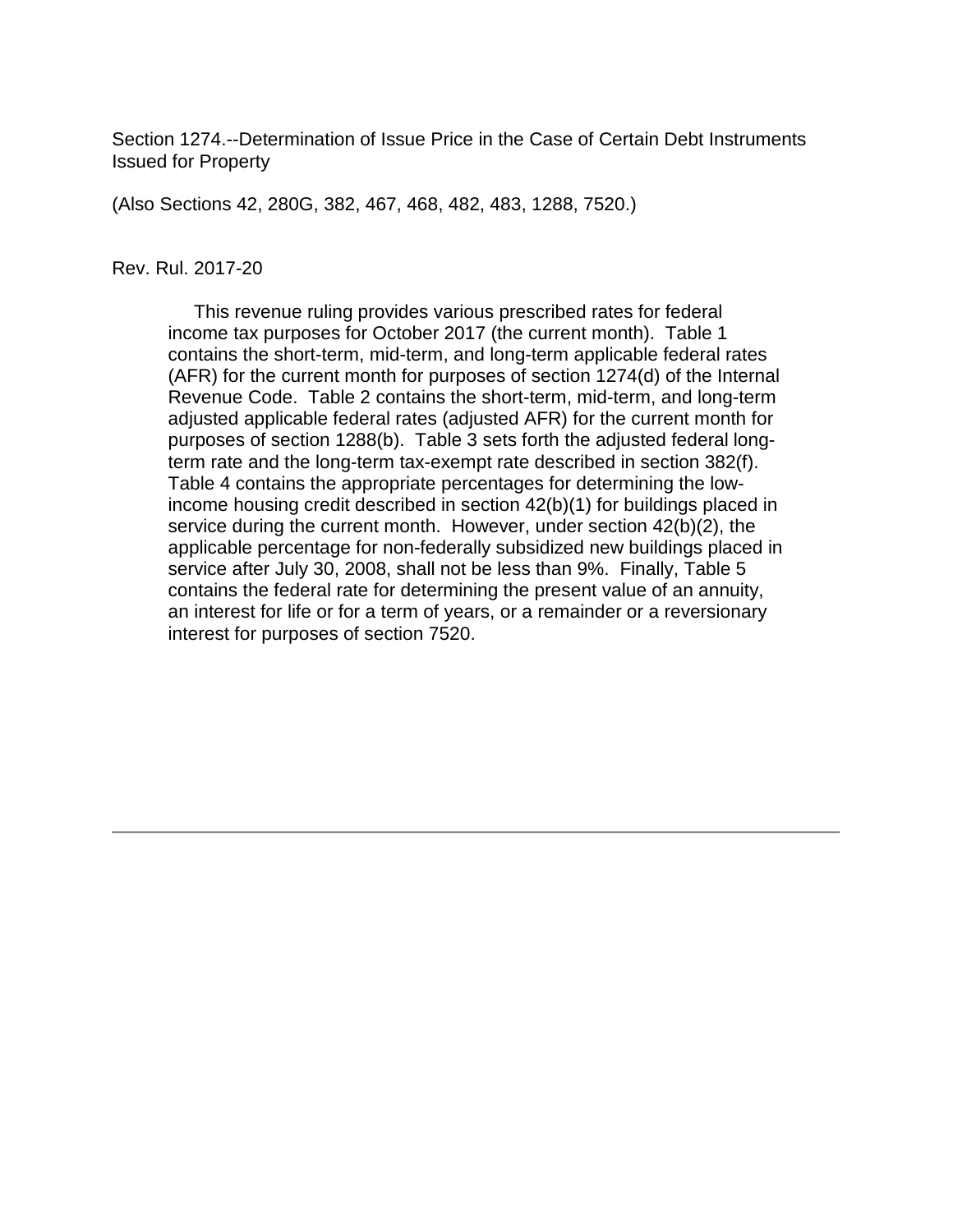Section 1274.--Determination of Issue Price in the Case of Certain Debt Instruments Issued for Property

(Also Sections 42, 280G, 382, 467, 468, 482, 483, 1288, 7520.)

#### Rev. Rul. 2017-20

 This revenue ruling provides various prescribed rates for federal income tax purposes for October 2017 (the current month). Table 1 contains the short-term, mid-term, and long-term applicable federal rates (AFR) for the current month for purposes of section 1274(d) of the Internal Revenue Code. Table 2 contains the short-term, mid-term, and long-term adjusted applicable federal rates (adjusted AFR) for the current month for purposes of section 1288(b). Table 3 sets forth the adjusted federal longterm rate and the long-term tax-exempt rate described in section 382(f). Table 4 contains the appropriate percentages for determining the lowincome housing credit described in section 42(b)(1) for buildings placed in service during the current month. However, under section 42(b)(2), the applicable percentage for non-federally subsidized new buildings placed in service after July 30, 2008, shall not be less than 9%. Finally, Table 5 contains the federal rate for determining the present value of an annuity, an interest for life or for a term of years, or a remainder or a reversionary interest for purposes of section 7520.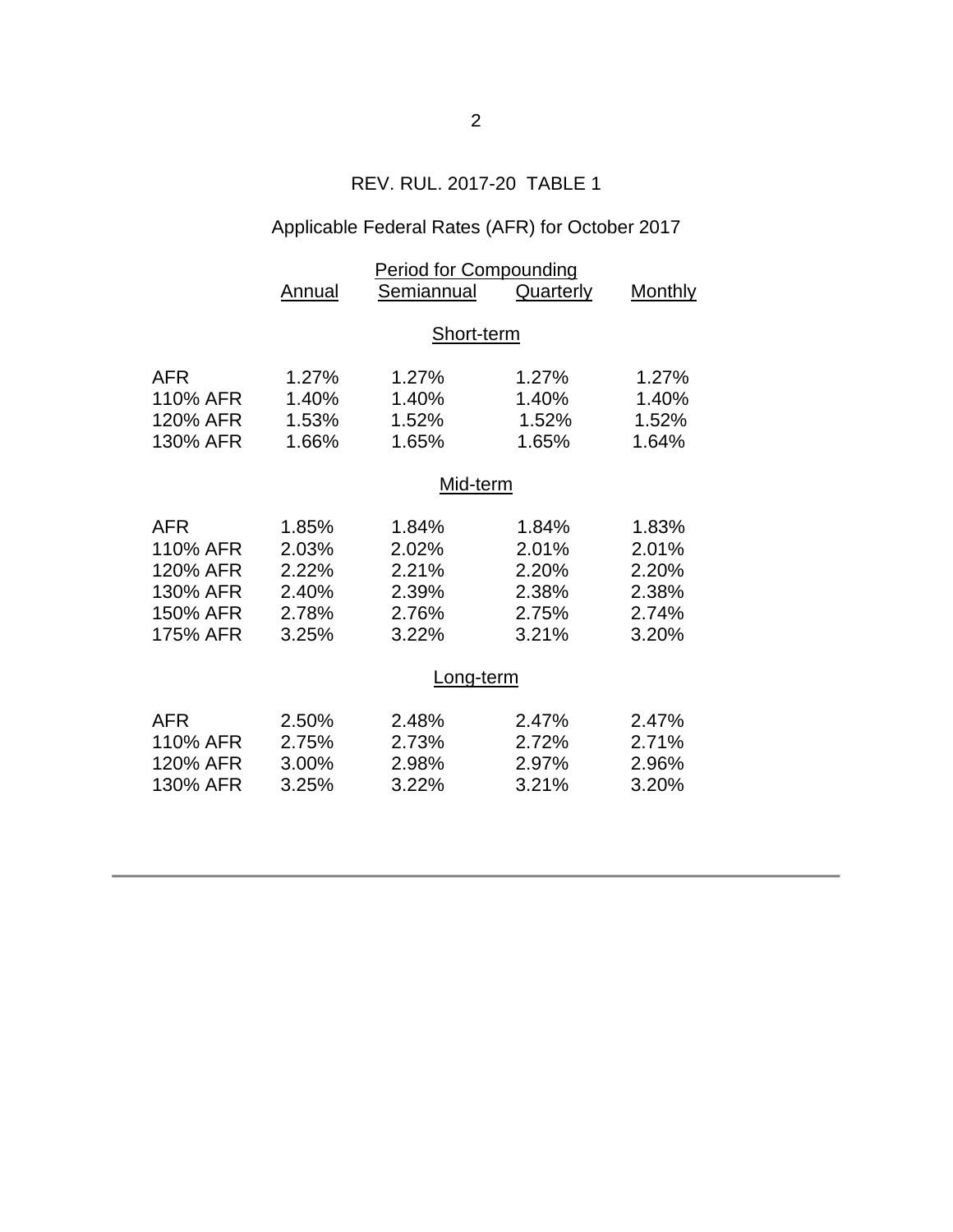## REV. RUL. 2017-20 TABLE 1

# Applicable Federal Rates (AFR) for October 2017

|          | <b>Period for Compounding</b> |            |           |         |  |  |  |
|----------|-------------------------------|------------|-----------|---------|--|--|--|
|          | Annual                        | Semiannual | Quarterly | Monthly |  |  |  |
|          |                               |            |           |         |  |  |  |
|          | Short-term                    |            |           |         |  |  |  |
| AFR      | 1.27%                         | 1.27%      | 1.27%     | 1.27%   |  |  |  |
| 110% AFR | 1.40%                         | 1.40%      | 1.40%     | 1.40%   |  |  |  |
| 120% AFR | 1.53%                         | 1.52%      | 1.52%     | 1.52%   |  |  |  |
| 130% AFR | 1.66%                         | 1.65%      | 1.65%     | 1.64%   |  |  |  |
|          | Mid-term                      |            |           |         |  |  |  |
| AFR      | 1.85%                         | 1.84%      | 1.84%     | 1.83%   |  |  |  |
| 110% AFR | 2.03%                         | 2.02%      | 2.01%     | 2.01%   |  |  |  |
| 120% AFR | 2.22%                         | 2.21%      | 2.20%     | 2.20%   |  |  |  |
| 130% AFR | 2.40%                         | 2.39%      | 2.38%     | 2.38%   |  |  |  |
| 150% AFR | 2.78%                         | 2.76%      | 2.75%     | 2.74%   |  |  |  |
| 175% AFR | 3.25%                         | 3.22%      | 3.21%     | 3.20%   |  |  |  |
|          | <u>Long-term</u>              |            |           |         |  |  |  |
| AFR      | 2.50%                         | 2.48%      | 2.47%     | 2.47%   |  |  |  |
| 110% AFR | 2.75%                         | 2.73%      | 2.72%     | 2.71%   |  |  |  |
| 120% AFR | 3.00%                         | 2.98%      | 2.97%     | 2.96%   |  |  |  |
| 130% AFR | 3.25%                         | 3.22%      | 3.21%     | 3.20%   |  |  |  |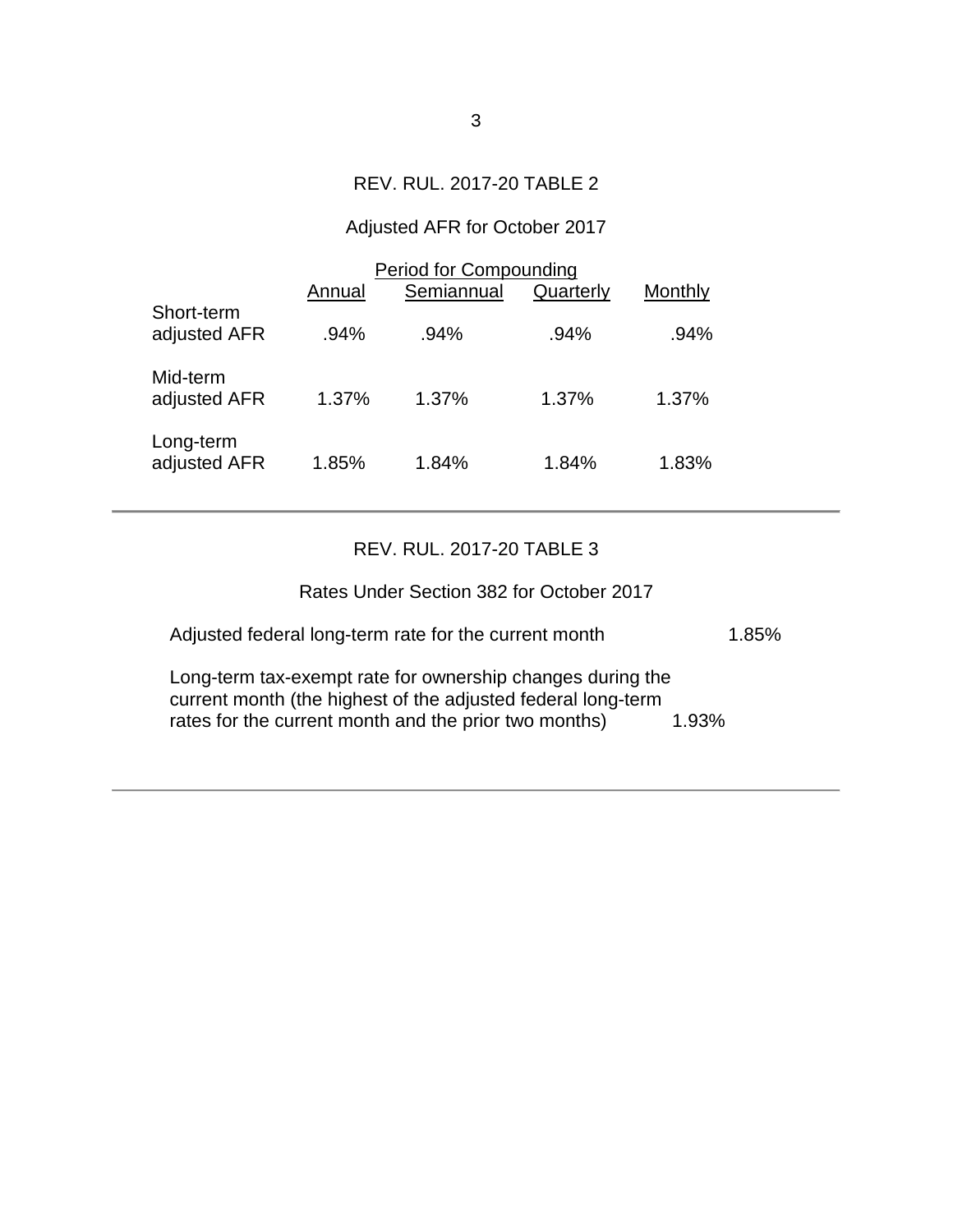### REV. RUL. 2017-20 TABLE 2

## Adjusted AFR for October 2017

|                            | <b>Period for Compounding</b> |            |           |         |  |
|----------------------------|-------------------------------|------------|-----------|---------|--|
|                            | Annual                        | Semiannual | Quarterly | Monthly |  |
| Short-term<br>adjusted AFR | $.94\%$                       | .94%       | .94%      | .94%    |  |
| Mid-term<br>adjusted AFR   | 1.37%                         | $1.37\%$   | $1.37\%$  | 1.37%   |  |
| Long-term<br>adjusted AFR  | 1.85%                         | 1.84%      | 1.84%     | 1.83%   |  |

### REV. RUL. 2017-20 TABLE 3

| Rates Under Section 382 for October 2017                                                                                                                                            |          |
|-------------------------------------------------------------------------------------------------------------------------------------------------------------------------------------|----------|
| Adjusted federal long-term rate for the current month                                                                                                                               | $1.85\%$ |
| Long-term tax-exempt rate for ownership changes during the<br>current month (the highest of the adjusted federal long-term<br>rates for the current month and the prior two months) | 1.93%    |